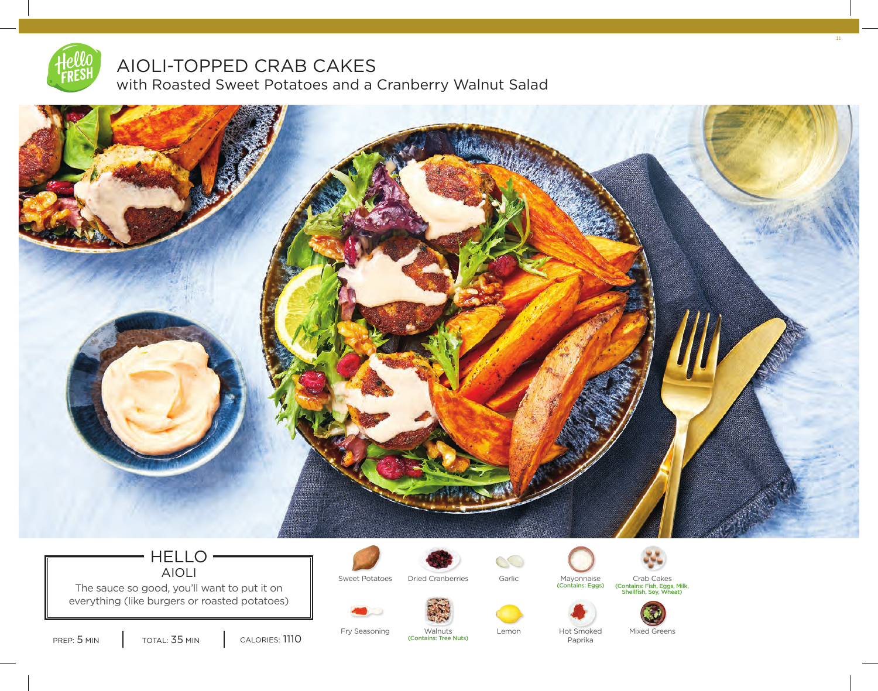

# AIOLI-TOPPED CRAB CAKES

with Roasted Sweet Potatoes and a Cranberry Walnut Salad



## HELLO AIOLI

The sauce so good, you'll want to put it on everything (like burgers or roasted potatoes)







Mayonnaise<br>(Contains: Eggs)



Sweet Potatoes Dried Cranberries Garlic Mayonnaise Crab Cakes (Contains: Fish, Eggs, Milk, Shellfish, Soy, Wheat)

11



PREP: 5 MIN | TOTAL: 35 MIN | CALORIES: 1110

Fry Seasoning Walnuts Lemon Hot Smoked Mixed Greens (Contains: Tree Nuts)

Paprika

 $\circlearrowright$